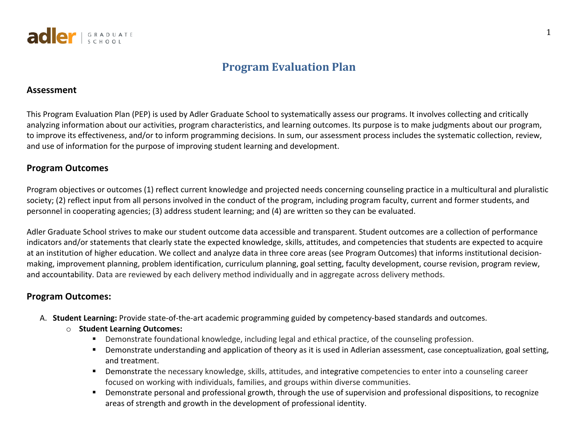

# **Program Evaluation Plan**

#### **Assessment**

This Program Evaluation Plan (PEP) is used by Adler Graduate School to systematically assess our programs. It involves collecting and critically analyzing information about our activities, program characteristics, and learning outcomes. Its purpose is to make judgments about our program, to improve its effectiveness, and/or to inform programming decisions. In sum, our assessment process includes the systematic collection, review, and use of information for the purpose of improving student learning and development.

### **Program Outcomes**

Program objectives or outcomes (1) reflect current knowledge and projected needs concerning counseling practice in a multicultural and pluralistic society; (2) reflect input from all persons involved in the conduct of the program, including program faculty, current and former students, and personnel in cooperating agencies; (3) address student learning; and (4) are written so they can be evaluated.

Adler Graduate School strives to make our student outcome data accessible and transparent. Student outcomes are a collection of performance indicators and/or statements that clearly state the expected knowledge, skills, attitudes, and competencies that students are expected to acquire at an institution of higher education. We collect and analyze data in three core areas (see Program Outcomes) that informs institutional decisionmaking, improvement planning, problem identification, curriculum planning, goal setting, faculty development, course revision, program review, and accountability. Data are reviewed by each delivery method individually and in aggregate across delivery methods.

## **Program Outcomes:**

- A. **Student Learning:** Provide state-of-the-art academic programming guided by competency-based standards and outcomes.
	- o **Student Learning Outcomes:**
		- § Demonstrate foundational knowledge, including legal and ethical practice, of the counseling profession.
		- Demonstrate understanding and application of theory as it is used in Adlerian assessment, case conceptualization, goal setting, and treatment.
		- Demonstrate the necessary knowledge, skills, attitudes, and integrative competencies to enter into a counseling career focused on working with individuals, families, and groups within diverse communities.
		- § Demonstrate personal and professional growth, through the use of supervision and professional dispositions, to recognize areas of strength and growth in the development of professional identity.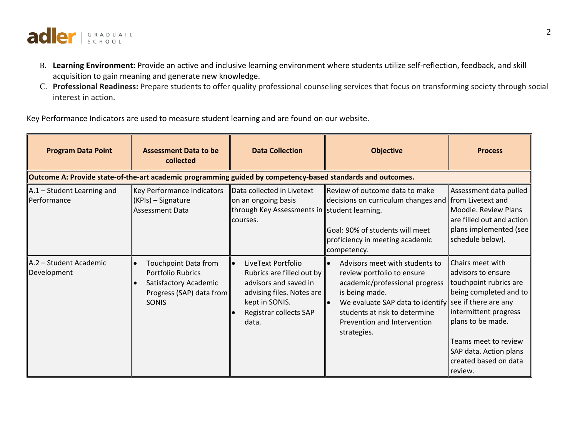

- B. **Learning Environment:** Provide an active and inclusive learning environment where students utilize self-reflection, feedback, and skill acquisition to gain meaning and generate new knowledge.
- C. **Professional Readiness:** Prepare students to offer quality professional counseling services that focus on transforming society through social interest in action.

Key Performance Indicators are used to measure student learning and are found on our website.

| <b>Program Data Point</b>                                                                                   | <b>Assessment Data to be</b><br>collected                                                                             | <b>Data Collection</b><br><b>Objective</b>                                                                                                                 |                                                                                                                                                                                                                                                          | <b>Process</b>                                                                                                                                                                                                                        |
|-------------------------------------------------------------------------------------------------------------|-----------------------------------------------------------------------------------------------------------------------|------------------------------------------------------------------------------------------------------------------------------------------------------------|----------------------------------------------------------------------------------------------------------------------------------------------------------------------------------------------------------------------------------------------------------|---------------------------------------------------------------------------------------------------------------------------------------------------------------------------------------------------------------------------------------|
| Outcome A: Provide state-of-the-art academic programming guided by competency-based standards and outcomes. |                                                                                                                       |                                                                                                                                                            |                                                                                                                                                                                                                                                          |                                                                                                                                                                                                                                       |
| A.1 - Student Learning and<br>Performance                                                                   | Key Performance Indicators<br>$(KPIs) - Signature$<br><b>Assessment Data</b>                                          | Data collected in Livetext<br>on an ongoing basis<br>through Key Assessments in student learning.<br>courses.                                              | Review of outcome data to make<br>decisions on curriculum changes and from Livetext and<br>Goal: 90% of students will meet<br>proficiency in meeting academic<br>competency.                                                                             | Assessment data pulled<br>Moodle. Review Plans<br>are filled out and action<br>plans implemented (see<br>schedule below).                                                                                                             |
| A.2 - Student Academic<br>Development                                                                       | Touchpoint Data from<br><b>Portfolio Rubrics</b><br>Satisfactory Academic<br>Progress (SAP) data from<br><b>SONIS</b> | LiveText Portfolio<br>Rubrics are filled out by<br>advisors and saved in<br>advising files. Notes are<br>kept in SONIS.<br>Registrar collects SAP<br>data. | Advisors meet with students to<br>review portfolio to ensure<br>academic/professional progress<br>is being made.<br>We evaluate SAP data to identify see if there are any<br>students at risk to determine<br>Prevention and Intervention<br>strategies. | <b>Chairs meet with</b><br>advisors to ensure<br>touchpoint rubrics are<br>being completed and to<br>intermittent progress<br>plans to be made.<br>Teams meet to review<br>SAP data. Action plans<br>created based on data<br>review. |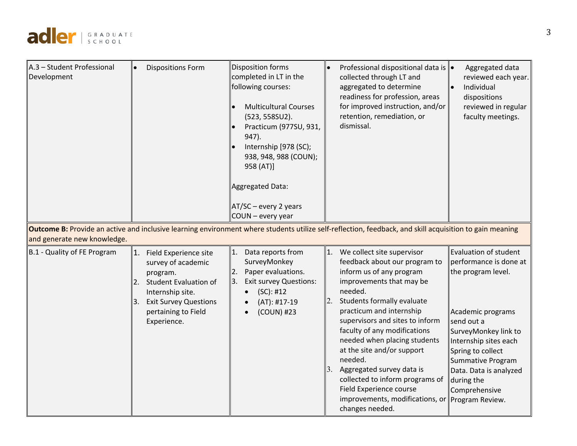

| A.3 - Student Professional  | <b>Dispositions Form</b><br>$\bullet$                                                                                                                         | Disposition forms                                                                                                                                                                                                    | Professional dispositional data is  ●<br>Aggregated data                                                                                                                                                                                                                                                                                                                                                                                               |
|-----------------------------|---------------------------------------------------------------------------------------------------------------------------------------------------------------|----------------------------------------------------------------------------------------------------------------------------------------------------------------------------------------------------------------------|--------------------------------------------------------------------------------------------------------------------------------------------------------------------------------------------------------------------------------------------------------------------------------------------------------------------------------------------------------------------------------------------------------------------------------------------------------|
| Development                 |                                                                                                                                                               | completed in LT in the<br>following courses:<br><b>Multicultural Courses</b><br>(523, 558SU2).<br>Practicum (977SU, 931,<br>947).<br>Internship [978 (SC);<br>938, 948, 988 (COUN);<br>958 (AT)]<br>Aggregated Data: | collected through LT and<br>reviewed each year.<br>aggregated to determine<br>Individual<br>readiness for profession, areas<br>dispositions<br>for improved instruction, and/or<br>reviewed in regular<br>retention, remediation, or<br>faculty meetings.<br>dismissal.                                                                                                                                                                                |
|                             |                                                                                                                                                               | $AT/SC$ – every 2 years<br>COUN - every year                                                                                                                                                                         |                                                                                                                                                                                                                                                                                                                                                                                                                                                        |
| and generate new knowledge. |                                                                                                                                                               |                                                                                                                                                                                                                      | Outcome B: Provide an active and inclusive learning environment where students utilize self-reflection, feedback, and skill acquisition to gain meaning                                                                                                                                                                                                                                                                                                |
| B.1 - Quality of FE Program | 1.<br>Field Experience site<br>survey of academic<br>program.<br><b>Student Evaluation of</b><br>2.<br>Internship site.<br><b>Exit Survey Questions</b><br>3. | 11.<br>Data reports from<br>SurveyMonkey<br>Paper evaluations.<br>2.<br>13.<br><b>Exit survey Questions:</b><br>(SC): #12<br>$(AT): #17-19$                                                                          | Evaluation of student<br>$\vert$ 1. We collect site supervisor<br>feedback about our program to<br>performance is done at<br>inform us of any program<br>the program level.<br>improvements that may be<br>needed.<br>2.<br>Students formally evaluate                                                                                                                                                                                                 |
|                             | pertaining to Field<br>Experience.                                                                                                                            | (COUN) #23                                                                                                                                                                                                           | practicum and internship<br>Academic programs<br>supervisors and sites to inform<br>send out a<br>faculty of any modifications<br>SurveyMonkey link to<br>needed when placing students<br>Internship sites each<br>at the site and/or support<br>Spring to collect<br>needed.<br>Summative Program<br>Aggregated survey data is<br>Data. Data is analyzed<br>collected to inform programs of<br>during the<br>Field Experience course<br>Comprehensive |
|                             |                                                                                                                                                               |                                                                                                                                                                                                                      | improvements, modifications, or   Program Review.<br>changes needed.                                                                                                                                                                                                                                                                                                                                                                                   |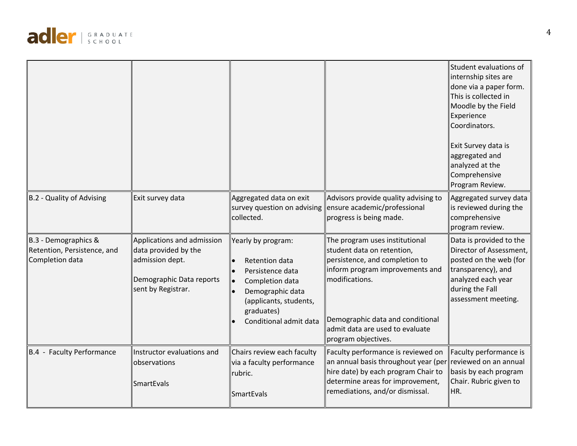

|                                                                        |                                                                                                                         |                                                                                                                                                                   |                                                                                                                                                                                                                                                   | Student evaluations of<br>internship sites are<br>done via a paper form.<br>This is collected in<br>Moodle by the Field<br>Experience<br>Coordinators.<br>Exit Survey data is<br>aggregated and<br>analyzed at the<br>Comprehensive<br>Program Review. |
|------------------------------------------------------------------------|-------------------------------------------------------------------------------------------------------------------------|-------------------------------------------------------------------------------------------------------------------------------------------------------------------|---------------------------------------------------------------------------------------------------------------------------------------------------------------------------------------------------------------------------------------------------|--------------------------------------------------------------------------------------------------------------------------------------------------------------------------------------------------------------------------------------------------------|
| B.2 - Quality of Advising                                              | Exit survey data                                                                                                        | Aggregated data on exit<br>survey question on advising<br>collected.                                                                                              | Advisors provide quality advising to<br>ensure academic/professional<br>progress is being made.                                                                                                                                                   | Aggregated survey data<br>is reviewed during the<br>comprehensive<br>program review.                                                                                                                                                                   |
| B.3 - Demographics &<br>Retention, Persistence, and<br>Completion data | Applications and admission<br>data provided by the<br>admission dept.<br>Demographic Data reports<br>sent by Registrar. | Yearly by program:<br>Retention data<br>Persistence data<br>Completion data<br>Demographic data<br>(applicants, students,<br>graduates)<br>Conditional admit data | The program uses institutional<br>student data on retention,<br>persistence, and completion to<br>inform program improvements and<br>modifications.<br>Demographic data and conditional<br>admit data are used to evaluate<br>program objectives. | Data is provided to the<br>Director of Assessment,<br>posted on the web (for<br>transparency), and<br>analyzed each year<br>during the Fall<br>assessment meeting.                                                                                     |
| B.4 - Faculty Performance                                              | Instructor evaluations and<br>observations<br><b>SmartEvals</b>                                                         | Chairs review each faculty<br>via a faculty performance<br>rubric.<br><b>SmartEvals</b>                                                                           | Faculty performance is reviewed on<br>an annual basis throughout year (per reviewed on an annual<br>hire date) by each program Chair to<br>determine areas for improvement,<br>remediations, and/or dismissal.                                    | Faculty performance is<br>basis by each program<br>Chair. Rubric given to<br>HR.                                                                                                                                                                       |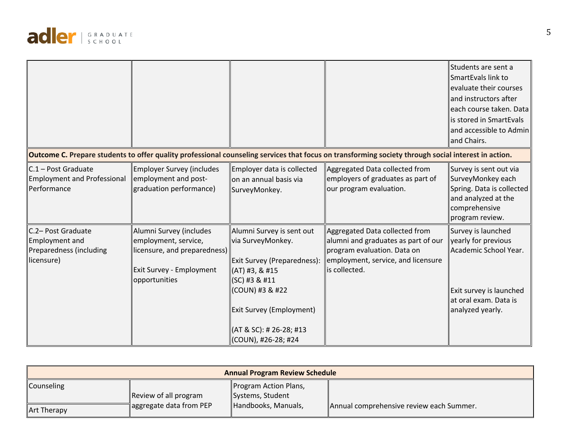

|                                                                                      |                                                                                                                              |                                                                                                                                 | Outcome C. Prepare students to offer quality professional counseling services that focus on transforming society through social interest in action.         | Students are sent a<br>$\sf I$ SmartEvals link to<br>evaluate their courses<br>and instructors after<br>each course taken. Data<br>is stored in SmartEvals<br>and accessible to Admin<br>and Chairs. |
|--------------------------------------------------------------------------------------|------------------------------------------------------------------------------------------------------------------------------|---------------------------------------------------------------------------------------------------------------------------------|-------------------------------------------------------------------------------------------------------------------------------------------------------------|------------------------------------------------------------------------------------------------------------------------------------------------------------------------------------------------------|
|                                                                                      |                                                                                                                              |                                                                                                                                 |                                                                                                                                                             |                                                                                                                                                                                                      |
| $\mathsf{C}.1$ – Post Graduate<br>Employment and Professional<br>Performance         | <b>Employer Survey (includes</b><br>employment and post-<br>graduation performance)                                          | Employer data is collected<br>$\parallel$ on an annual basis via<br>SurveyMonkey.                                               | Aggregated Data collected from<br>employers of graduates as part of<br>our program evaluation.                                                              | Survey is sent out via<br>SurveyMonkey each<br>Spring. Data is collected<br>and analyzed at the<br>comprehensive<br>program review.                                                                  |
| C.2- Post Graduate<br><b>Employment and</b><br>Preparedness (including<br>licensure) | Alumni Survey (includes<br>employment, service,<br>licensure, and preparedness)<br>Exit Survey - Employment<br>opportunities | Alumni Survey is sent out<br>via SurveyMonkey.<br>Exit Survey (Preparedness):<br>$\parallel$ (AT) #3, & #15<br>$ (SC)$ #3 & #11 | Aggregated Data collected from<br>alumni and graduates as part of our<br>program evaluation. Data on<br>employment, service, and licensure<br>is collected. | Survey is launched<br>yearly for previous<br>Academic School Year.                                                                                                                                   |
|                                                                                      |                                                                                                                              | (COUN) #3 & #22<br>Exit Survey (Employment)                                                                                     |                                                                                                                                                             | Exit survey is launched<br>lat oral exam. Data is<br>analyzed yearly.                                                                                                                                |
|                                                                                      |                                                                                                                              | (AT & SC): # 26-28; #13<br>(COUN), #26-28; #24                                                                                  |                                                                                                                                                             |                                                                                                                                                                                                      |

| <b>Annual Program Review Schedule</b> |                         |                       |                                          |  |  |  |  |
|---------------------------------------|-------------------------|-----------------------|------------------------------------------|--|--|--|--|
| Counseling                            |                         | Program Action Plans, |                                          |  |  |  |  |
|                                       | Review of all program   | Systems, Student      |                                          |  |  |  |  |
| <b>Art Therapy</b>                    | aggregate data from PEP | Handbooks, Manuals,   | Annual comprehensive review each Summer. |  |  |  |  |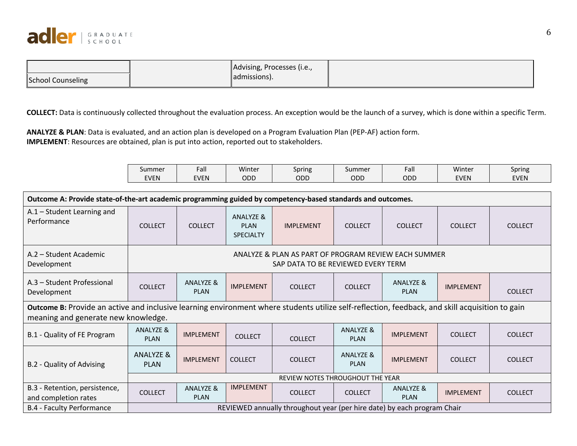

|                          | Advising, Processes (i.e., |  |
|--------------------------|----------------------------|--|
| <b>School Counseling</b> | admissions).               |  |

**COLLECT:** Data is continuously collected throughout the evaluation process. An exception would be the launch of a survey, which is done within a specific Term.

**ANALYZE & PLAN**: Data is evaluated, and an action plan is developed on a Program Evaluation Plan (PEP-AF) action form. **IMPLEMENT**: Resources are obtained, plan is put into action, reported out to stakeholders.

| Summer      | Fall        | Winter | $\overline{\phantom{a}}$<br>Spring | Summer | Fall | 1.11<br>Winter | Spring |
|-------------|-------------|--------|------------------------------------|--------|------|----------------|--------|
| <b>EVEN</b> | <b>EVEN</b> | ODD    | ODD                                | ODD    | ODD  | EVEN           | EVEN   |

| Outcome A: Provide state-of-the-art academic programming guided by competency-based standards and outcomes.                                                                            |                                     |                                                                                            |                                              |                                                                         |                                     |                                     |                  |                |
|----------------------------------------------------------------------------------------------------------------------------------------------------------------------------------------|-------------------------------------|--------------------------------------------------------------------------------------------|----------------------------------------------|-------------------------------------------------------------------------|-------------------------------------|-------------------------------------|------------------|----------------|
| $A.1 - Student Learning$ and<br>Performance                                                                                                                                            | <b>COLLECT</b>                      | <b>COLLECT</b>                                                                             | ANALYZE &<br><b>PIAN</b><br><b>SPECIALTY</b> | <b>IMPLEMENT</b>                                                        | <b>COLLECT</b>                      | <b>COLLECT</b>                      | <b>COLLECT</b>   | <b>COLLECT</b> |
| A.2 - Student Academic<br>Development                                                                                                                                                  |                                     | ANALYZE & PLAN AS PART OF PROGRAM REVIEW EACH SUMMER<br>SAP DATA TO BE REVIEWED EVERY TERM |                                              |                                                                         |                                     |                                     |                  |                |
| A.3 - Student Professional<br>Development                                                                                                                                              | <b>COLLECT</b>                      | <b>ANALYZE &amp;</b><br><b>PLAN</b>                                                        | <b>IMPLEMENT</b>                             | <b>COLLECT</b>                                                          | <b>COLLECT</b>                      | <b>ANALYZE &amp;</b><br><b>PLAN</b> | <b>IMPLEMENT</b> | <b>COLLECT</b> |
| Outcome B: Provide an active and inclusive learning environment where students utilize self-reflection, feedback, and skill acquisition to gain<br>meaning and generate new knowledge. |                                     |                                                                                            |                                              |                                                                         |                                     |                                     |                  |                |
| B.1 - Quality of FE Program                                                                                                                                                            | <b>ANALYZE &amp;</b><br><b>PLAN</b> | <b>IMPLEMENT</b>                                                                           | <b>COLLECT</b>                               | <b>COLLECT</b>                                                          | <b>ANALYZE &amp;</b><br><b>PLAN</b> | <b>IMPLEMENT</b>                    | <b>COLLECT</b>   | <b>COLLECT</b> |
| B.2 - Quality of Advising                                                                                                                                                              | ANALYZE &<br><b>PLAN</b>            | <b>IMPLEMENT</b>                                                                           | <b>COLLECT</b>                               | <b>COLLECT</b>                                                          | ANALYZE &<br><b>PLAN</b>            | <b>IMPLEMENT</b>                    | <b>COLLECT</b>   | <b>COLLECT</b> |
|                                                                                                                                                                                        | REVIEW NOTES THROUGHOUT THE YEAR    |                                                                                            |                                              |                                                                         |                                     |                                     |                  |                |
| B.3 - Retention, persistence,<br>and completion rates                                                                                                                                  | <b>COLLECT</b>                      | ANALYZE &<br><b>PLAN</b>                                                                   | <b>IMPLEMENT</b>                             | <b>COLLECT</b>                                                          | <b>COLLECT</b>                      | <b>ANALYZE &amp;</b><br><b>PLAN</b> | <b>IMPLEMENT</b> | <b>COLLECT</b> |
| <b>B.4 - Faculty Performance</b>                                                                                                                                                       |                                     |                                                                                            |                                              | REVIEWED annually throughout year (per hire date) by each program Chair |                                     |                                     |                  |                |